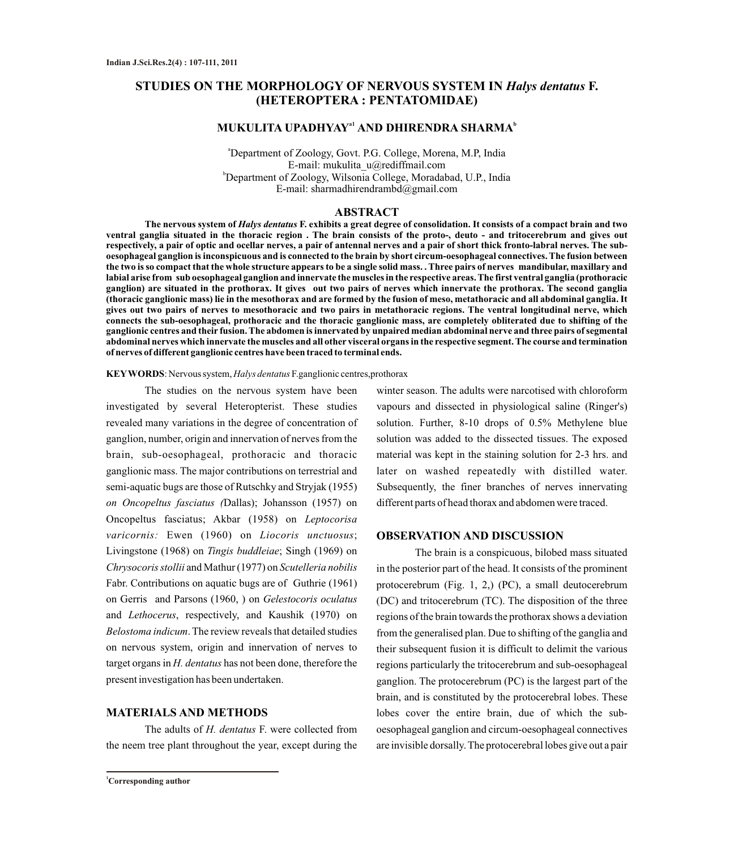# **STUDIES ON THE MORPHOLOGY OF NERVOUS SYSTEM IN** *Halys dentatus* **F. (HETEROPTERA : PENTATOMIDAE)**

## **MUKULITA UPADHYAY AND DHIRENDRA SHARMA a1 b**

<sup>a</sup>Department of Zoology, Govt. P.G. College, Morena, M.P, India E-mail: mukulita\_u@rediffmail.com <sup>b</sup>Department of Zoology, Wilsonia College, Moradabad, U.P., India E-mail: sharmadhirendrambd@gmail.com

#### **ABSTRACT**

**The nervous system of** *Halys dentatus* **F. exhibits a great degree of consolidation. It consists of a compact brain and two ventral ganglia situated in the thoracic region . The brain consists of the proto-, deuto - and tritocerebrum and gives out respectively, a pair of optic and ocellar nerves, a pair of antennal nerves and a pair of short thick fronto-labral nerves. The suboesophageal ganglion is inconspicuous and is connected to the brain by short circum-oesophageal connectives. The fusion between the two is so compact that the whole structure appears to be a single solid mass. . Three pairs of nerves mandibular, maxillary and labial arise from sub oesophageal ganglion and innervate the muscles in the respective areas. The first ventral ganglia (prothoracic ganglion) are situated in the prothorax. It gives out two pairs of nerves which innervate the prothorax. The second ganglia (thoracic ganglionic mass) lie in the mesothorax and are formed by the fusion of meso, metathoracic and all abdominal ganglia. It gives out two pairs of nerves to mesothoracic and two pairs in metathoracic regions. The ventral longitudinal nerve, which connects the sub-oesophageal, prothoracic and the thoracic ganglionic mass, are completely obliterated due to shifting of the ganglionic centres and their fusion. The abdomen is innervated by unpaired median abdominal nerve and three pairs of segmental abdominal nerves which innervate the muscles and all other visceral organs in the respective segment. The course and termination of nerves of different ganglionic centres have been traced to terminal ends.** 

#### **KEYWORDS**: Nervous system, *Halys dentatus* F.ganglionic centres,prothorax

The studies on the nervous system have been investigated by several Heteropterist. These studies revealed many variations in the degree of concentration of ganglion, number, origin and innervation of nerves from the brain, sub-oesophageal, prothoracic and thoracic ganglionic mass. The major contributions on terrestrial and semi-aquatic bugs are those of Rutschky and Stryjak (1955) *on Oncopeltus fasciatus (*Dallas); Johansson (1957) on Oncopeltus fasciatus; Akbar (1958) on *Leptocorisa varicornis:* Ewen (1960) on *Liocoris unctuosus*; Livingstone (1968) on *Tingis buddleiae*; Singh (1969) on *Chrysocoris stollii* and Mathur (1977) on *Scutelleria nobilis* Fabr. Contributions on aquatic bugs are of Guthrie (1961) on Gerris and Parsons (1960, ) on *Gelestocoris oculatus* and *Lethocerus*, respectively, and Kaushik (1970) on *Belostoma indicum*. The review reveals that detailed studies on nervous system, origin and innervation of nerves to target organs in *H. dentatus* has not been done, therefore the present investigation has been undertaken.

### **MATERIALS AND METHODS**

The adults of *H. dentatus* F. were collected from the neem tree plant throughout the year, except during the

winter season. The adults were narcotised with chloroform vapours and dissected in physiological saline (Ringer's) solution. Further, 8-10 drops of 0.5% Methylene blue solution was added to the dissected tissues. The exposed material was kept in the staining solution for 2-3 hrs. and later on washed repeatedly with distilled water. Subsequently, the finer branches of nerves innervating different parts of head thorax and abdomen were traced.

#### **OBSERVATION AND DISCUSSION**

The brain is a conspicuous, bilobed mass situated in the posterior part of the head. It consists of the prominent protocerebrum (Fig. 1, 2,) (PC), a small deutocerebrum (DC) and tritocerebrum (TC). The disposition of the three regions of the brain towards the prothorax shows a deviation from the generalised plan. Due to shifting of the ganglia and their subsequent fusion it is difficult to delimit the various regions particularly the tritocerebrum and sub-oesophageal ganglion. The protocerebrum (PC) is the largest part of the brain, and is constituted by the protocerebral lobes. These lobes cover the entire brain, due of which the suboesophageal ganglion and circum-oesophageal connectives are invisible dorsally. The protocerebral lobes give out a pair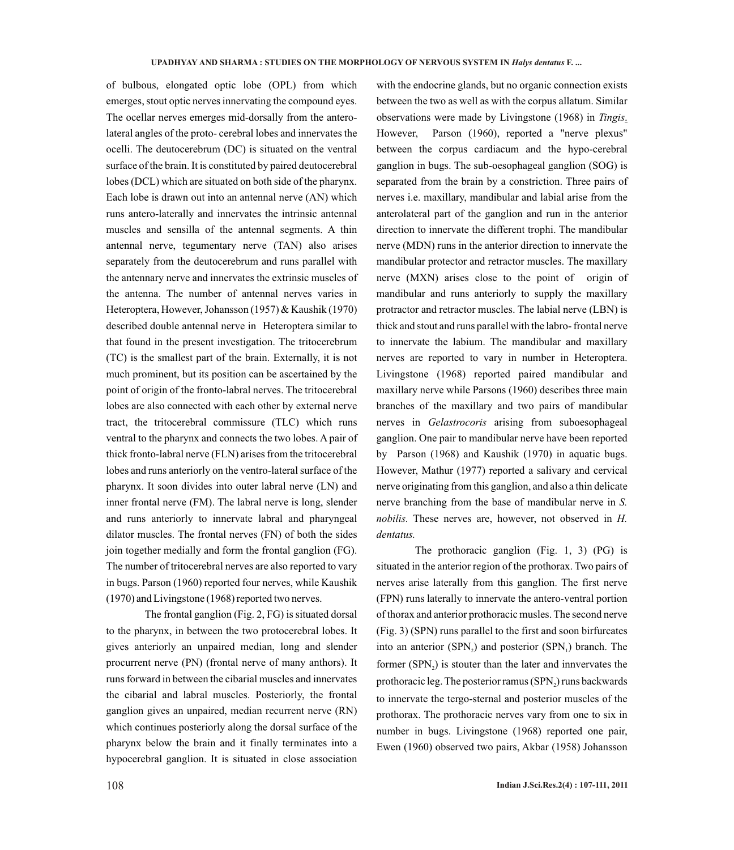of bulbous, elongated optic lobe (OPL) from which emerges, stout optic nerves innervating the compound eyes. The ocellar nerves emerges mid-dorsally from the anterolateral angles of the proto- cerebral lobes and innervates the ocelli. The deutocerebrum (DC) is situated on the ventral surface of the brain. It is constituted by paired deutocerebral lobes (DCL) which are situated on both side of the pharynx. Each lobe is drawn out into an antennal nerve (AN) which runs antero-laterally and innervates the intrinsic antennal muscles and sensilla of the antennal segments. A thin antennal nerve, tegumentary nerve (TAN) also arises separately from the deutocerebrum and runs parallel with the antennary nerve and innervates the extrinsic muscles of the antenna. The number of antennal nerves varies in Heteroptera, However, Johansson (1957) & Kaushik (1970) described double antennal nerve in Heteroptera similar to that found in the present investigation. The tritocerebrum (TC) is the smallest part of the brain. Externally, it is not much prominent, but its position can be ascertained by the point of origin of the fronto-labral nerves. The tritocerebral lobes are also connected with each other by external nerve tract, the tritocerebral commissure (TLC) which runs ventral to the pharynx and connects the two lobes. A pair of thick fronto-labral nerve (FLN) arises from the tritocerebral lobes and runs anteriorly on the ventro-lateral surface of the pharynx. It soon divides into outer labral nerve (LN) and inner frontal nerve (FM). The labral nerve is long, slender and runs anteriorly to innervate labral and pharyngeal dilator muscles. The frontal nerves (FN) of both the sides join together medially and form the frontal ganglion (FG). The number of tritocerebral nerves are also reported to vary in bugs. Parson (1960) reported four nerves, while Kaushik (1970) and Livingstone (1968) reported two nerves.

The frontal ganglion (Fig. 2, FG) is situated dorsal to the pharynx, in between the two protocerebral lobes. It gives anteriorly an unpaired median, long and slender procurrent nerve (PN) (frontal nerve of many anthors). It runs forward in between the cibarial muscles and innervates the cibarial and labral muscles. Posteriorly, the frontal ganglion gives an unpaired, median recurrent nerve (RN) which continues posteriorly along the dorsal surface of the pharynx below the brain and it finally terminates into a hypocerebral ganglion. It is situated in close association

with the endocrine glands, but no organic connection exists between the two as well as with the corpus allatum. Similar observations were made by Livingstone (1968) in *Tingis*. However, Parson (1960), reported a "nerve plexus" between the corpus cardiacum and the hypo-cerebral ganglion in bugs. The sub-oesophageal ganglion (SOG) is separated from the brain by a constriction. Three pairs of nerves i.e. maxillary, mandibular and labial arise from the anterolateral part of the ganglion and run in the anterior direction to innervate the different trophi. The mandibular nerve (MDN) runs in the anterior direction to innervate the mandibular protector and retractor muscles. The maxillary nerve (MXN) arises close to the point of origin of mandibular and runs anteriorly to supply the maxillary protractor and retractor muscles. The labial nerve (LBN) is thick and stout and runs parallel with the labro- frontal nerve to innervate the labium. The mandibular and maxillary nerves are reported to vary in number in Heteroptera. Livingstone (1968) reported paired mandibular and maxillary nerve while Parsons (1960) describes three main branches of the maxillary and two pairs of mandibular nerves in *Gelastrocoris* arising from suboesophageal ganglion. One pair to mandibular nerve have been reported by Parson (1968) and Kaushik (1970) in aquatic bugs. However, Mathur (1977) reported a salivary and cervical nerve originating from this ganglion, and also a thin delicate nerve branching from the base of mandibular nerve in *S. nobilis.* These nerves are, however, not observed in *H. dentatus.*

The prothoracic ganglion (Fig. 1, 3) (PG) is situated in the anterior region of the prothorax. Two pairs of nerves arise laterally from this ganglion. The first nerve (FPN) runs laterally to innervate the antero-ventral portion of thorax and anterior prothoracic musles. The second nerve (Fig. 3) (SPN) runs parallel to the first and soon birfurcates into an anterior  $(SPN_2)$  and posterior  $(SPN_1)$  branch. The former  $(SPN<sub>2</sub>)$  is stouter than the later and innvervates the prothoracic leg. The posterior ramus  $(SPN<sub>2</sub>)$  runs backwards to innervate the tergo-sternal and posterior muscles of the prothorax. The prothoracic nerves vary from one to six in number in bugs. Livingstone (1968) reported one pair, Ewen (1960) observed two pairs, Akbar (1958) Johansson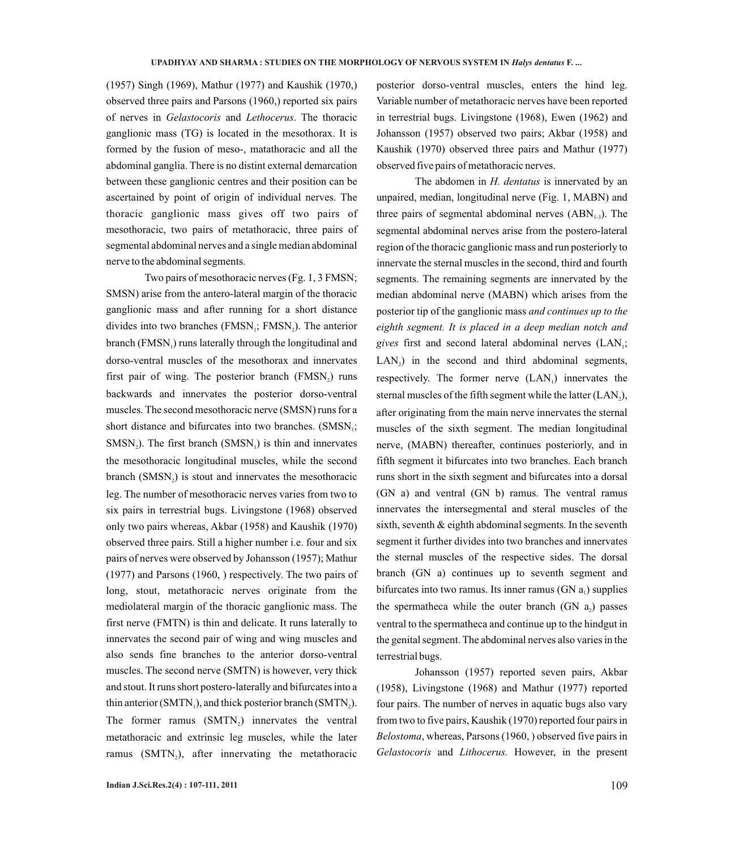(1957) Singh (1969), Mathur (1977) and Kaushik (1970,) observed three pairs and Parsons (1960,) reported six pairs of nerves in *Gelastocoris* and *Lethocerus*. The thoracic ganglionic mass (TG) is located in the mesothorax. It is formed by the fusion of meso-, matathoracic and all the abdominal ganglia. There is no distint external demarcation between these ganglionic centres and their position can be ascertained by point of origin of individual nerves. The thoracic ganglionic mass gives off two pairs of mesothoracic, two pairs of metathoracic, three pairs of segmental abdominal nerves and a single median abdominal nerve to the abdominal segments.

Two pairs of mesothoracic nerves (Fg. 1, 3 FMSN; SMSN) arise from the antero-lateral margin of the thoracic ganglionic mass and after running for a short distance divides into two branches  $(FMSN_i; FMSN_i)$ . The anterior branch (FMSN,) runs laterally through the longitudinal and dorso-ventral muscles of the mesothorax and innervates first pair of wing. The posterior branch  $(FMSN_2)$  runs backwards and innervates the posterior dorso-ventral muscles. The second mesothoracic nerve (SMSN) runs for a short distance and bifurcates into two branches.  $(SMSN_i;$  $SMSN<sub>2</sub>$ ). The first branch  $(SMSN<sub>1</sub>)$  is thin and innervates the mesothoracic longitudinal muscles, while the second branch  $(SMSN<sub>2</sub>)$  is stout and innervates the mesothoracic leg. The number of mesothoracic nerves varies from two to six pairs in terrestrial bugs. Livingstone (1968) observed only two pairs whereas, Akbar (1958) and Kaushik (1970) observed three pairs. Still a higher number i.e. four and six pairs of nerves were observed by Johansson (1957); Mathur (1977) and Parsons (1960, ) respectively. The two pairs of long, stout, metathoracic nerves originate from the mediolateral margin of the thoracic ganglionic mass. The first nerve (FMTN) is thin and delicate. It runs laterally to innervates the second pair of wing and wing muscles and also sends fine branches to the anterior dorso-ventral muscles. The second nerve (SMTN) is however, very thick and stout. It runs short postero-laterally and bifurcates into a thin anterior (SMTN $<sub>1</sub>$ ), and thick posterior branch (SMTN $<sub>2</sub>$ ).</sub></sub> The former ramus  $(SMTN<sub>2</sub>)$  innervates the ventral metathoracic and extrinsic leg muscles, while the later ramus (SMTN<sub>2</sub>), after innervating the metathoracic

posterior dorso-ventral muscles, enters the hind leg. Variable number of metathoracic nerves have been reported in terrestrial bugs. Livingstone (1968), Ewen (1962) and Johansson (1957) observed two pairs; Akbar (1958) and Kaushik (1970) observed three pairs and Mathur (1977) observed five pairs of metathoracic nerves.

The abdomen in *H. dentatus* is innervated by an unpaired, median, longitudinal nerve (Fig. 1, MABN) and three pairs of segmental abdominal nerves  $(ABN_{1,3})$ . The segmental abdominal nerves arise from the postero-lateral region of the thoracic ganglionic mass and run posteriorly to innervate the sternal muscles in the second, third and fourth segments. The remaining segments are innervated by the median abdominal nerve (MABN) which arises from the posterior tip of the ganglionic mass *and continues up to the eighth segment. It is placed in a deep median notch and gives* first and second lateral abdominal nerves (LAN<sub>1</sub>;  $LAN<sub>2</sub>$ ) in the second and third abdominal segments, respectively. The former nerve  $(LAN<sub>1</sub>)$  innervates the sternal muscles of the fifth segment while the latter  $(LAN<sub>2</sub>)$ , after originating from the main nerve innervates the sternal muscles of the sixth segment. The median longitudinal nerve, (MABN) thereafter, continues posteriorly, and in fifth segment it bifurcates into two branches. Each branch runs short in the sixth segment and bifurcates into a dorsal (GN a) and ventral (GN b) ramus. The ventral ramus innervates the intersegmental and steral muscles of the sixth, seventh & eighth abdominal segments. In the seventh segment it further divides into two branches and innervates the sternal muscles of the respective sides. The dorsal branch (GN a) continues up to seventh segment and bifurcates into two ramus. Its inner ramus  $(GN a<sub>1</sub>)$  supplies the spermatheca while the outer branch (GN  $a_2$ ) passes ventral to the spermatheca and continue up to the hindgut in the genital segment. The abdominal nerves also varies in the terrestrial bugs.

Johansson (1957) reported seven pairs, Akbar (1958), Livingstone (1968) and Mathur (1977) reported four pairs. The number of nerves in aquatic bugs also vary from two to five pairs, Kaushik (1970) reported four pairs in *Belostoma*, whereas, Parsons (1960, ) observed five pairs in *Gelastocoris* and *Lithocerus.* However, in the present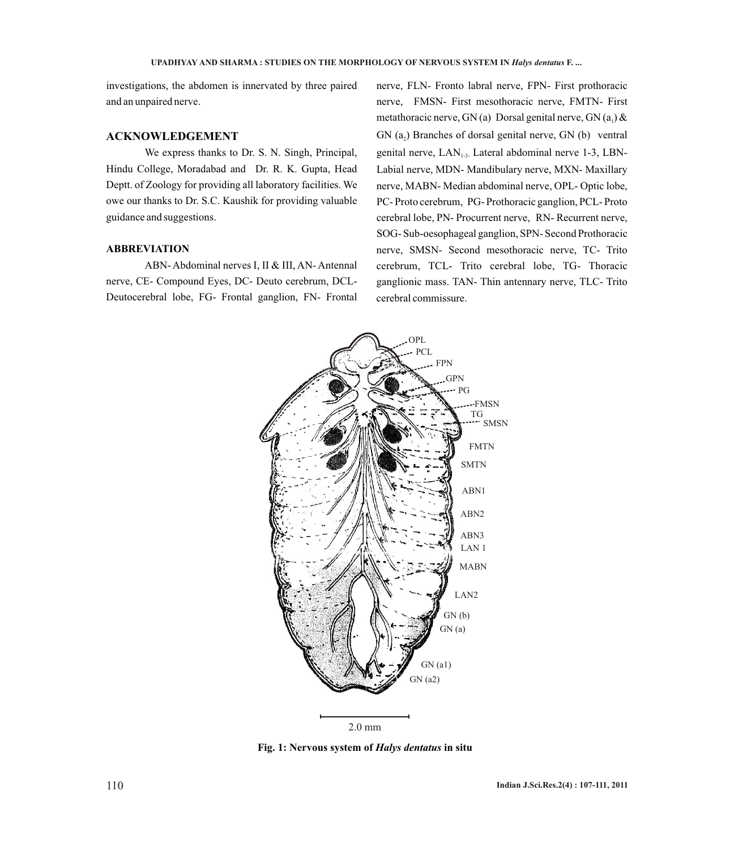investigations, the abdomen is innervated by three paired and an unpaired nerve.

#### **ACKNOWLEDGEMENT**

We express thanks to Dr. S. N. Singh, Principal, Hindu College, Moradabad and Dr. R. K. Gupta, Head Deptt. of Zoology for providing all laboratory facilities. We owe our thanks to Dr. S.C. Kaushik for providing valuable guidance and suggestions.

#### **ABBREVIATION**

ABN- Abdominal nerves I, II & III, AN- Antennal nerve, CE- Compound Eyes, DC- Deuto cerebrum, DCL-Deutocerebral lobe, FG- Frontal ganglion, FN- Frontal

nerve, FLN- Fronto labral nerve, FPN- First prothoracic nerve, FMSN- First mesothoracic nerve, FMTN- First metathoracic nerve, GN (a) Dorsal genital nerve, GN  $(a_1)$  & GN  $(a_2)$  Branches of dorsal genital nerve, GN  $(b)$  ventral genital nerve,  $LAN_{1.3.}$  Lateral abdominal nerve 1-3, LBN-Labial nerve, MDN- Mandibulary nerve, MXN- Maxillary nerve, MABN- Median abdominal nerve, OPL- Optic lobe, PC- Proto cerebrum, PG- Prothoracic ganglion, PCL- Proto cerebral lobe, PN- Procurrent nerve, RN- Recurrent nerve, SOG- Sub-oesophageal ganglion, SPN- Second Prothoracic nerve, SMSN- Second mesothoracic nerve, TC- Trito cerebrum, TCL- Trito cerebral lobe, TG- Thoracic ganglionic mass. TAN- Thin antennary nerve, TLC- Trito cerebral commissure.



**Fig. 1: Nervous system of** *Halys dentatus* **in situ**